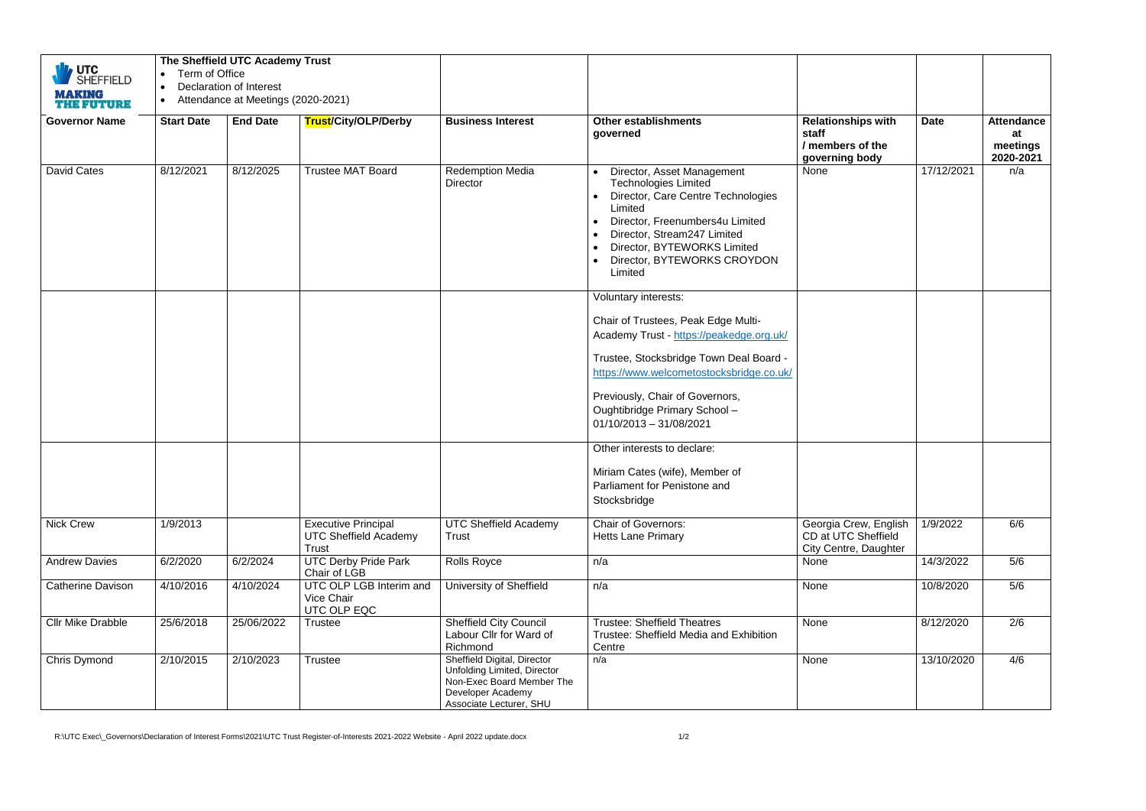| VUTC<br>SHEFFIELD<br><b>MAKING</b><br><b>THE FUTURE</b> | Term of Office<br>$\bullet$ | The Sheffield UTC Academy Trust<br><b>Declaration of Interest</b><br>Attendance at Meetings (2020-2021) |                                                                            |                                                                                                                                         |                                                                                                                                                                                                                                                                      |                                                                          |             |                                                  |
|---------------------------------------------------------|-----------------------------|---------------------------------------------------------------------------------------------------------|----------------------------------------------------------------------------|-----------------------------------------------------------------------------------------------------------------------------------------|----------------------------------------------------------------------------------------------------------------------------------------------------------------------------------------------------------------------------------------------------------------------|--------------------------------------------------------------------------|-------------|--------------------------------------------------|
| <b>Governor Name</b>                                    | <b>Start Date</b>           | <b>End Date</b>                                                                                         | Trust/City/OLP/Derby                                                       | <b>Business Interest</b>                                                                                                                | <b>Other establishments</b><br>governed                                                                                                                                                                                                                              | <b>Relationships with</b><br>staff<br>/ members of the<br>governing body | <b>Date</b> | <b>Attendance</b><br>at<br>meetings<br>2020-2021 |
| <b>David Cates</b>                                      | 8/12/2021                   | 8/12/2025                                                                                               | <b>Trustee MAT Board</b>                                                   | <b>Redemption Media</b><br><b>Director</b>                                                                                              | Director, Asset Management<br>$\bullet$<br><b>Technologies Limited</b><br>• Director, Care Centre Technologies<br>Limited<br>Director, Freenumbers4u Limited<br>Director, Stream247 Limited<br>Director, BYTEWORKS Limited<br>Director, BYTEWORKS CROYDON<br>Limited | None                                                                     | 17/12/2021  | n/a                                              |
|                                                         |                             |                                                                                                         |                                                                            |                                                                                                                                         | Voluntary interests:                                                                                                                                                                                                                                                 |                                                                          |             |                                                  |
|                                                         |                             |                                                                                                         |                                                                            |                                                                                                                                         | Chair of Trustees, Peak Edge Multi-<br>Academy Trust - https://peakedge.org.uk/                                                                                                                                                                                      |                                                                          |             |                                                  |
|                                                         |                             |                                                                                                         |                                                                            |                                                                                                                                         | Trustee, Stocksbridge Town Deal Board -<br>https://www.welcometostocksbridge.co.uk/                                                                                                                                                                                  |                                                                          |             |                                                  |
|                                                         |                             |                                                                                                         |                                                                            |                                                                                                                                         | Previously, Chair of Governors,<br>Oughtibridge Primary School -<br>$01/10/2013 - 31/08/2021$                                                                                                                                                                        |                                                                          |             |                                                  |
|                                                         |                             |                                                                                                         |                                                                            |                                                                                                                                         | Other interests to declare:<br>Miriam Cates (wife), Member of<br>Parliament for Penistone and<br>Stocksbridge                                                                                                                                                        |                                                                          |             |                                                  |
| <b>Nick Crew</b>                                        | 1/9/2013                    |                                                                                                         | <b>Executive Principal</b><br><b>UTC Sheffield Academy</b><br><b>Trust</b> | <b>UTC Sheffield Academy</b><br>Trust                                                                                                   | <b>Chair of Governors:</b><br><b>Hetts Lane Primary</b>                                                                                                                                                                                                              | Georgia Crew, English<br>CD at UTC Sheffield<br>City Centre, Daughter    | 1/9/2022    | 6/6                                              |
| <b>Andrew Davies</b>                                    | 6/2/2020                    | 6/2/2024                                                                                                | <b>UTC Derby Pride Park</b><br>Chair of LGB                                | Rolls Royce                                                                                                                             | n/a                                                                                                                                                                                                                                                                  | None                                                                     | 14/3/2022   | 5/6                                              |
| <b>Catherine Davison</b>                                | 4/10/2016                   | 4/10/2024                                                                                               | UTC OLP LGB Interim and<br>Vice Chair<br>UTC OLP EQC                       | University of Sheffield                                                                                                                 | n/a                                                                                                                                                                                                                                                                  | None                                                                     | 10/8/2020   | 5/6                                              |
| <b>Cllr Mike Drabble</b>                                | 25/6/2018                   | 25/06/2022                                                                                              | <b>Trustee</b>                                                             | <b>Sheffield City Council</b><br>Labour Cllr for Ward of<br>Richmond                                                                    | <b>Trustee: Sheffield Theatres</b><br>Trustee: Sheffield Media and Exhibition<br>Centre                                                                                                                                                                              | None                                                                     | 8/12/2020   | 2/6                                              |
| Chris Dymond                                            | 2/10/2015                   | 2/10/2023                                                                                               | Trustee                                                                    | Sheffield Digital, Director<br>Unfolding Limited, Director<br>Non-Exec Board Member The<br>Developer Academy<br>Associate Lecturer, SHU | n/a                                                                                                                                                                                                                                                                  | None                                                                     | 13/10/2020  | 4/6                                              |